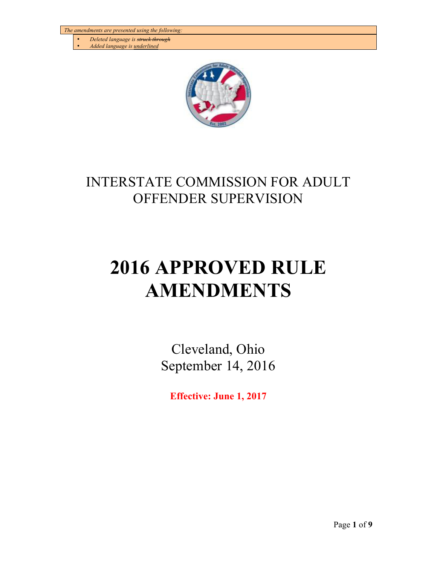- *Deleted language is struck through*
- *Added language is underlined*



## INTERSTATE COMMISSION FOR ADULT OFFENDER SUPERVISION

# **2016 APPROVED RULE AMENDMENTS**

Cleveland, Ohio September 14, 2016

**Effective: June 1, 2017**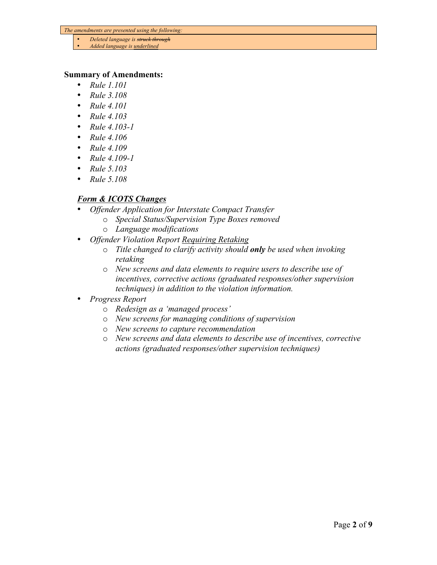- *Deleted language is struck through*
- *Added language is underlined*

#### **Summary of Amendments:**

- *Rule 1.101*
- *Rule 3.108*
- *Rule 4.101*
- *Rule 4.103*
- *Rule 4.103-1*
- *Rule 4.106*
- *Rule 4.109*
- *Rule 4.109-1*
- *Rule 5.103*
- *Rule 5.108*

#### *Form & ICOTS Changes*

- *Offender Application for Interstate Compact Transfer*
	- o *Special Status/Supervision Type Boxes removed*
	- o *Language modifications*
- *Offender Violation Report Requiring Retaking*
	- o *Title changed to clarify activity should only be used when invoking retaking*
	- o *New screens and data elements to require users to describe use of incentives, corrective actions (graduated responses/other supervision techniques) in addition to the violation information.*
- *Progress Report*
	- o *Redesign as a 'managed process'*
	- o *New screens for managing conditions of supervision*
	- o *New screens to capture recommendation*
	- o *New screens and data elements to describe use of incentives, corrective actions (graduated responses/other supervision techniques)*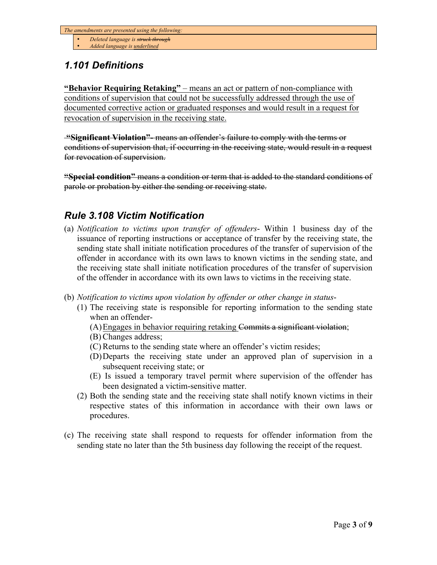- *Deleted language is struck through*
- *Added language is underlined*

## *1.101 Definitions*

**"Behavior Requiring Retaking"** – means an act or pattern of non-compliance with conditions of supervision that could not be successfully addressed through the use of documented corrective action or graduated responses and would result in a request for revocation of supervision in the receiving state.

**"Significant Violation"-** means an offender's failure to comply with the terms or conditions of supervision that, if occurring in the receiving state, would result in a request for revocation of supervision.

**"Special condition"** means a condition or term that is added to the standard conditions of parole or probation by either the sending or receiving state.

#### *Rule 3.108 Victim Notification*

- (a) *Notification to victims upon transfer of offenders* Within 1 business day of the issuance of reporting instructions or acceptance of transfer by the receiving state, the sending state shall initiate notification procedures of the transfer of supervision of the offender in accordance with its own laws to known victims in the sending state, and the receiving state shall initiate notification procedures of the transfer of supervision of the offender in accordance with its own laws to victims in the receiving state.
- (b) *Notification to victims upon violation by offender or other change in status*
	- (1) The receiving state is responsible for reporting information to the sending state when an offender-
		- (A)Engages in behavior requiring retaking Commits a significant violation;
		- (B) Changes address;
		- (C) Returns to the sending state where an offender's victim resides;
		- (D)Departs the receiving state under an approved plan of supervision in a subsequent receiving state; or
		- (E) Is issued a temporary travel permit where supervision of the offender has been designated a victim-sensitive matter.
	- (2) Both the sending state and the receiving state shall notify known victims in their respective states of this information in accordance with their own laws or procedures.
- (c) The receiving state shall respond to requests for offender information from the sending state no later than the 5th business day following the receipt of the request.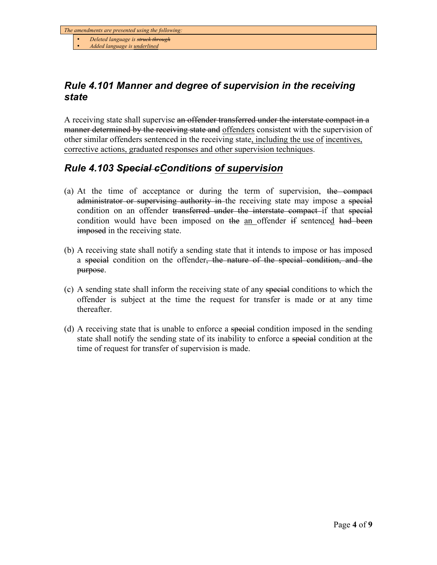• *Added language is underlined*

### *Rule 4.101 Manner and degree of supervision in the receiving state*

A receiving state shall supervise an offender transferred under the interstate compact in a manner determined by the receiving state and offenders consistent with the supervision of other similar offenders sentenced in the receiving state, including the use of incentives, corrective actions, graduated responses and other supervision techniques.

#### *Rule 4.103 Special cConditions of supervision*

- (a) At the time of acceptance or during the term of supervision, the compact administrator or supervising authority in the receiving state may impose a special condition on an offender transferred under the interstate compact if that special condition would have been imposed on the an offender if sentenced had been **imposed** in the receiving state.
- (b) A receiving state shall notify a sending state that it intends to impose or has imposed a special condition on the offender, the nature of the special condition, and the purpose.
- (c) A sending state shall inform the receiving state of any special conditions to which the offender is subject at the time the request for transfer is made or at any time thereafter.
- (d) A receiving state that is unable to enforce a special condition imposed in the sending state shall notify the sending state of its inability to enforce a special condition at the time of request for transfer of supervision is made.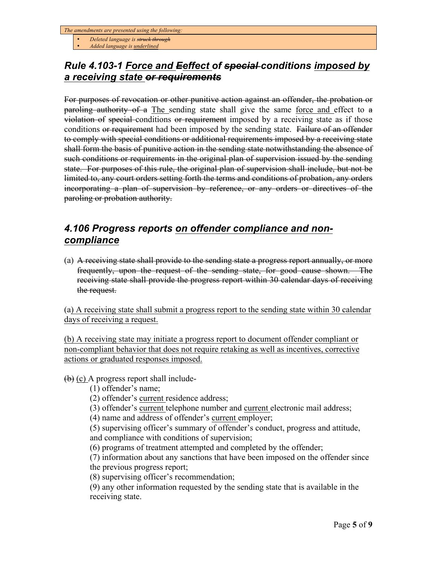• *Deleted language is struck through*

• *Added language is underlined*

#### *Rule 4.103-1 Force and Eeffect of special conditions imposed by a receiving state or requirements*

For purposes of revocation or other punitive action against an offender, the probation or paroling authority of a The sending state shall give the same force and effect to a violation of special conditions or requirement imposed by a receiving state as if those conditions or requirement had been imposed by the sending state. Failure of an offender to comply with special conditions or additional requirements imposed by a receiving state shall form the basis of punitive action in the sending state notwithstanding the absence of such conditions or requirements in the original plan of supervision issued by the sending state. For purposes of this rule, the original plan of supervision shall include, but not be limited to, any court orders setting forth the terms and conditions of probation, any orders incorporating a plan of supervision by reference, or any orders or directives of the paroling or probation authority.

### *4.106 Progress reports on offender compliance and noncompliance*

(a) A receiving state shall provide to the sending state a progress report annually, or more frequently, upon the request of the sending state, for good cause shown. The receiving state shall provide the progress report within 30 calendar days of receiving the request.

(a) A receiving state shall submit a progress report to the sending state within 30 calendar days of receiving a request.

(b) A receiving state may initiate a progress report to document offender compliant or non-compliant behavior that does not require retaking as well as incentives, corrective actions or graduated responses imposed.

 $(b)$  (c) A progress report shall include-

(1) offender's name;

(2) offender's current residence address;

(3) offender's current telephone number and current electronic mail address;

(4) name and address of offender's current employer;

(5) supervising officer's summary of offender's conduct, progress and attitude, and compliance with conditions of supervision;

(6) programs of treatment attempted and completed by the offender;

(7) information about any sanctions that have been imposed on the offender since the previous progress report;

(8) supervising officer's recommendation;

(9) any other information requested by the sending state that is available in the receiving state.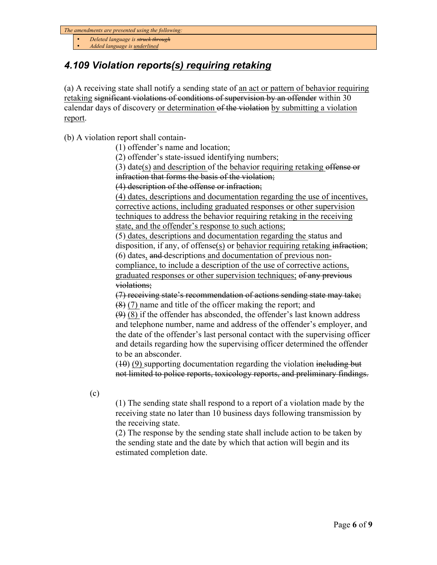• *Deleted language is struck through*

• *Added language is underlined*

## *4.109 Violation reports(s) requiring retaking*

(a) A receiving state shall notify a sending state of an act or pattern of behavior requiring retaking significant violations of conditions of supervision by an offender within 30 calendar days of discovery or determination of the violation by submitting a violation report.

(b) A violation report shall contain-

(1) offender's name and location;

(2) offender's state-issued identifying numbers;

(3) date(s) and description of the behavior requiring retaking offense or infraction that forms the basis of the violation;

(4) description of the offense or infraction;

(4) dates, descriptions and documentation regarding the use of incentives, corrective actions, including graduated responses or other supervision techniques to address the behavior requiring retaking in the receiving state, and the offender's response to such actions;

(5) dates, descriptions and documentation regarding the status and disposition, if any, of offense(s) or behavior requiring retaking infraction; (6) dates, and descriptions and documentation of previous non-

compliance, to include a description of the use of corrective actions, graduated responses or other supervision techniques; of any previous violations;

(7) receiving state's recommendation of actions sending state may take; (8) (7) name and title of the officer making the report; and

 $(9)$  (8) if the offender has absconded, the offender's last known address and telephone number, name and address of the offender's employer, and the date of the offender's last personal contact with the supervising officer and details regarding how the supervising officer determined the offender to be an absconder.

 $(10)(9)$  supporting documentation regarding the violation including but not limited to police reports, toxicology reports, and preliminary findings.

(c)

(1) The sending state shall respond to a report of a violation made by the receiving state no later than 10 business days following transmission by the receiving state.

(2) The response by the sending state shall include action to be taken by the sending state and the date by which that action will begin and its estimated completion date.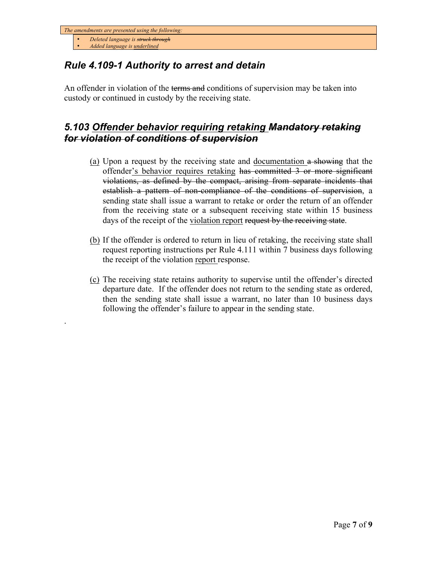• *Deleted language is struck through*

• *Added language is underlined*

.

## *Rule 4.109-1 Authority to arrest and detain*

An offender in violation of the terms and conditions of supervision may be taken into custody or continued in custody by the receiving state.

#### *5.103 Offender behavior requiring retaking Mandatory retaking for violation of conditions of supervision*

- (a) Upon a request by the receiving state and documentation  $\alpha$  showing that the offender's behavior requires retaking has committed 3 or more significant violations, as defined by the compact, arising from separate incidents that establish a pattern of non-compliance of the conditions of supervision, a sending state shall issue a warrant to retake or order the return of an offender from the receiving state or a subsequent receiving state within 15 business days of the receipt of the violation report request by the receiving state.
- (b) If the offender is ordered to return in lieu of retaking, the receiving state shall request reporting instructions per Rule 4.111 within 7 business days following the receipt of the violation report response.
- (c) The receiving state retains authority to supervise until the offender's directed departure date. If the offender does not return to the sending state as ordered, then the sending state shall issue a warrant, no later than 10 business days following the offender's failure to appear in the sending state.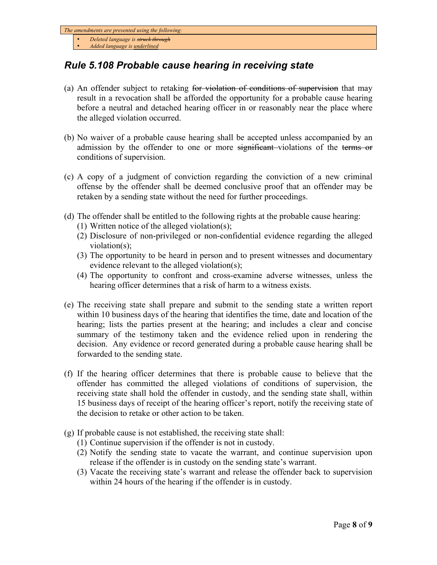• *Deleted language is struck through*

• *Added language is underlined*

### *Rule 5.108 Probable cause hearing in receiving state*

- (a) An offender subject to retaking <del>for violation of conditions of supervision</del> that may result in a revocation shall be afforded the opportunity for a probable cause hearing before a neutral and detached hearing officer in or reasonably near the place where the alleged violation occurred.
- (b) No waiver of a probable cause hearing shall be accepted unless accompanied by an admission by the offender to one or more significant-violations of the terms or conditions of supervision.
- (c) A copy of a judgment of conviction regarding the conviction of a new criminal offense by the offender shall be deemed conclusive proof that an offender may be retaken by a sending state without the need for further proceedings.
- (d) The offender shall be entitled to the following rights at the probable cause hearing:
	- (1) Written notice of the alleged violation(s);
	- (2) Disclosure of non-privileged or non-confidential evidence regarding the alleged violation(s);
	- (3) The opportunity to be heard in person and to present witnesses and documentary evidence relevant to the alleged violation(s);
	- (4) The opportunity to confront and cross-examine adverse witnesses, unless the hearing officer determines that a risk of harm to a witness exists.
- (e) The receiving state shall prepare and submit to the sending state a written report within 10 business days of the hearing that identifies the time, date and location of the hearing; lists the parties present at the hearing; and includes a clear and concise summary of the testimony taken and the evidence relied upon in rendering the decision. Any evidence or record generated during a probable cause hearing shall be forwarded to the sending state.
- (f) If the hearing officer determines that there is probable cause to believe that the offender has committed the alleged violations of conditions of supervision, the receiving state shall hold the offender in custody, and the sending state shall, within 15 business days of receipt of the hearing officer's report, notify the receiving state of the decision to retake or other action to be taken.
- (g) If probable cause is not established, the receiving state shall:
	- (1) Continue supervision if the offender is not in custody.
	- (2) Notify the sending state to vacate the warrant, and continue supervision upon release if the offender is in custody on the sending state's warrant.
	- (3) Vacate the receiving state's warrant and release the offender back to supervision within 24 hours of the hearing if the offender is in custody.